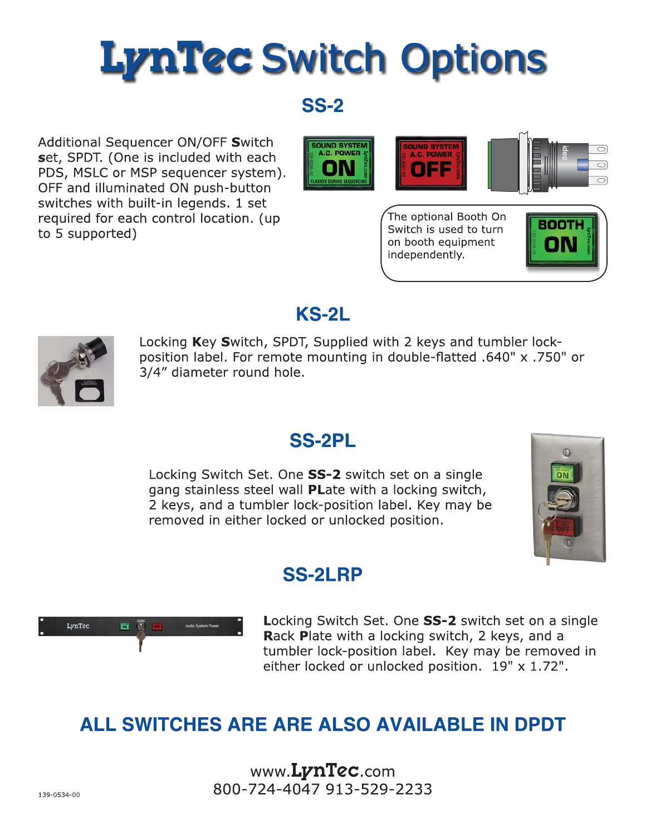# **LynTec Switch Options**

#### **SS-2**

Additional Sequencer ON/OFF Switch set, SPDT. (One is included with each PDS, MSLC or MSP sequencer system). OFF and illuminated ON push-button switches with built-in legends. 1 set required for each control location. (up to 5 supported)



The optional Booth On Switch is used to turn on booth equipment independently.



#### KS-2L

LynTec

西下

Locking Key Switch, SPDT, Supplied with 2 keys and tumbler lockposition label. For remote mounting in double-flatted .640" x .750" or 3/4" diameter round hole.

## **SS-2PL**

Locking Switch Set. One **SS-2** switch set on a single gang stainless steel wall PLate with a locking switch, 2 keys, and a tumbler lock-position label. Key may be removed in either locked or unlocked position.



## **SS-2LRP**

Locking Switch Set. One SS-2 switch set on a single **Rack Plate with a locking switch, 2 keys, and a** tumbler lock-position label. Key may be removed in either locked or unlocked position. 19" x 1.72".

# ALL SWITCHES ARE ARE ALSO AVAILABLE IN DPDT

www.LynTec.com 800-724-4047 913-529-2233